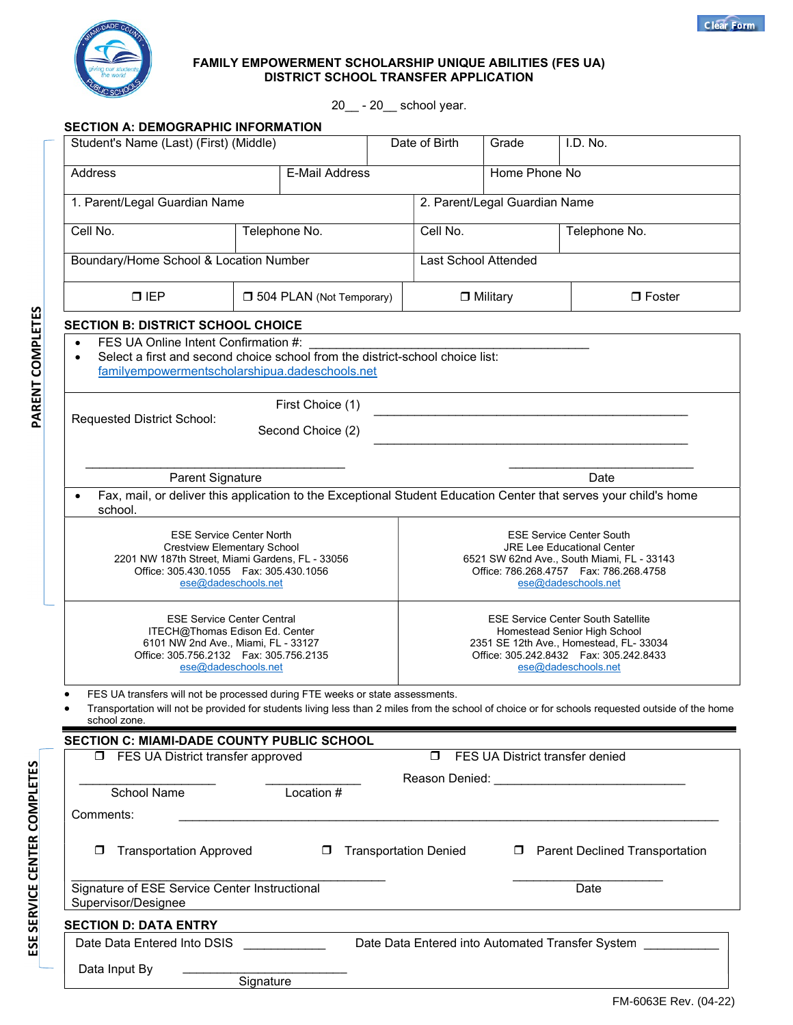

## FAMILY EMPOWERMENT SCHOLARSHIP UNIQUE ABILITIES (FES UA) DISTRICT SCHOOL TRANSFER APPLICATION

20\_\_ - 20\_\_ school year.

| Student's Name (Last) (First) (Middle)                                                                                                                                                       |           |                   | Date of Birth                                                                                                                                                                            | Grade                 | I.D. No. |                                                                                                                                                  |  |
|----------------------------------------------------------------------------------------------------------------------------------------------------------------------------------------------|-----------|-------------------|------------------------------------------------------------------------------------------------------------------------------------------------------------------------------------------|-----------------------|----------|--------------------------------------------------------------------------------------------------------------------------------------------------|--|
| Address<br><b>E-Mail Address</b>                                                                                                                                                             |           |                   |                                                                                                                                                                                          | Home Phone No         |          |                                                                                                                                                  |  |
| 1. Parent/Legal Guardian Name                                                                                                                                                                |           |                   | 2. Parent/Legal Guardian Name                                                                                                                                                            |                       |          |                                                                                                                                                  |  |
| Cell No.<br>Telephone No.                                                                                                                                                                    |           |                   |                                                                                                                                                                                          | Cell No.              |          | Telephone No.                                                                                                                                    |  |
| Boundary/Home School & Location Number                                                                                                                                                       |           |                   | Last School Attended                                                                                                                                                                     |                       |          |                                                                                                                                                  |  |
| $\Box$ IEP<br><b>J</b> 504 PLAN (Not Temporary)                                                                                                                                              |           |                   | $\Box$ Military                                                                                                                                                                          | $\Box$ Foster         |          |                                                                                                                                                  |  |
| <b>SECTION B: DISTRICT SCHOOL CHOICE</b>                                                                                                                                                     |           |                   |                                                                                                                                                                                          |                       |          |                                                                                                                                                  |  |
| FES UA Online Intent Confirmation #:<br>Select a first and second choice school from the district-school choice list:<br>familyempowermentscholarshipua.dadeschools.net                      |           |                   |                                                                                                                                                                                          |                       |          |                                                                                                                                                  |  |
|                                                                                                                                                                                              |           | First Choice (1)  |                                                                                                                                                                                          |                       |          |                                                                                                                                                  |  |
| Requested District School:                                                                                                                                                                   |           | Second Choice (2) |                                                                                                                                                                                          |                       |          |                                                                                                                                                  |  |
|                                                                                                                                                                                              |           |                   |                                                                                                                                                                                          |                       |          |                                                                                                                                                  |  |
| <b>Parent Signature</b>                                                                                                                                                                      |           |                   |                                                                                                                                                                                          |                       |          | Date                                                                                                                                             |  |
|                                                                                                                                                                                              |           |                   |                                                                                                                                                                                          |                       |          | Fax, mail, or deliver this application to the Exceptional Student Education Center that serves your child's home                                 |  |
| school.                                                                                                                                                                                      |           |                   |                                                                                                                                                                                          |                       |          |                                                                                                                                                  |  |
| <b>ESE Service Center North</b><br><b>Crestview Elementary School</b><br>2201 NW 187th Street, Miami Gardens, FL - 33056<br>Office: 305.430.1055    Fax: 305.430.1056<br>ese@dadeschools.net |           |                   | <b>ESE Service Center South</b><br><b>JRE Lee Educational Center</b><br>6521 SW 62nd Ave., South Miami, FL - 33143<br>Office: 786.268.4757    Fax: 786.268.4758<br>ese@dadeschools.net   |                       |          |                                                                                                                                                  |  |
| <b>ESE Service Center Central</b><br>ITECH@Thomas Edison Ed. Center<br>6101 NW 2nd Ave., Miami, FL - 33127<br>Office: 305.756.2132    Fax: 305.756.2135<br>ese@dadeschools.net               |           |                   | <b>ESE Service Center South Satellite</b><br>Homestead Senior High School<br>2351 SE 12th Ave., Homestead, FL- 33034<br>Office: 305.242.8432    Fax: 305.242.8433<br>ese@dadeschools.net |                       |          |                                                                                                                                                  |  |
| FES UA transfers will not be processed during FTE weeks or state assessments.                                                                                                                |           |                   |                                                                                                                                                                                          |                       |          | Transportation will not be provided for students living less than 2 miles from the school of choice or for schools requested outside of the home |  |
| school zone.                                                                                                                                                                                 |           |                   |                                                                                                                                                                                          |                       |          |                                                                                                                                                  |  |
| <b>SECTION C: MIAMI-DADE COUNTY PUBLIC SCHOOL</b><br><b>I</b> FES UA District transfer approved                                                                                              |           |                   |                                                                                                                                                                                          | $\Box$                |          | FES UA District transfer denied                                                                                                                  |  |
|                                                                                                                                                                                              |           |                   |                                                                                                                                                                                          |                       |          |                                                                                                                                                  |  |
| School Name                                                                                                                                                                                  |           | Location #        |                                                                                                                                                                                          |                       |          |                                                                                                                                                  |  |
| Comments:                                                                                                                                                                                    |           |                   |                                                                                                                                                                                          |                       |          |                                                                                                                                                  |  |
| <b>Transportation Approved</b>                                                                                                                                                               |           | $\Box$            |                                                                                                                                                                                          | Transportation Denied |          | <b>D</b> Parent Declined Transportation                                                                                                          |  |
| Signature of ESE Service Center Instructional<br>Supervisor/Designee                                                                                                                         |           |                   |                                                                                                                                                                                          |                       |          | Date                                                                                                                                             |  |
| <b>SECTION D: DATA ENTRY</b>                                                                                                                                                                 |           |                   |                                                                                                                                                                                          |                       |          |                                                                                                                                                  |  |
| Date Data Entered Into DSIS                                                                                                                                                                  |           |                   |                                                                                                                                                                                          |                       |          | Date Data Entered into Automated Transfer System [1984]                                                                                          |  |
| Data Input By                                                                                                                                                                                |           |                   |                                                                                                                                                                                          |                       |          |                                                                                                                                                  |  |
|                                                                                                                                                                                              | Signature |                   |                                                                                                                                                                                          |                       |          |                                                                                                                                                  |  |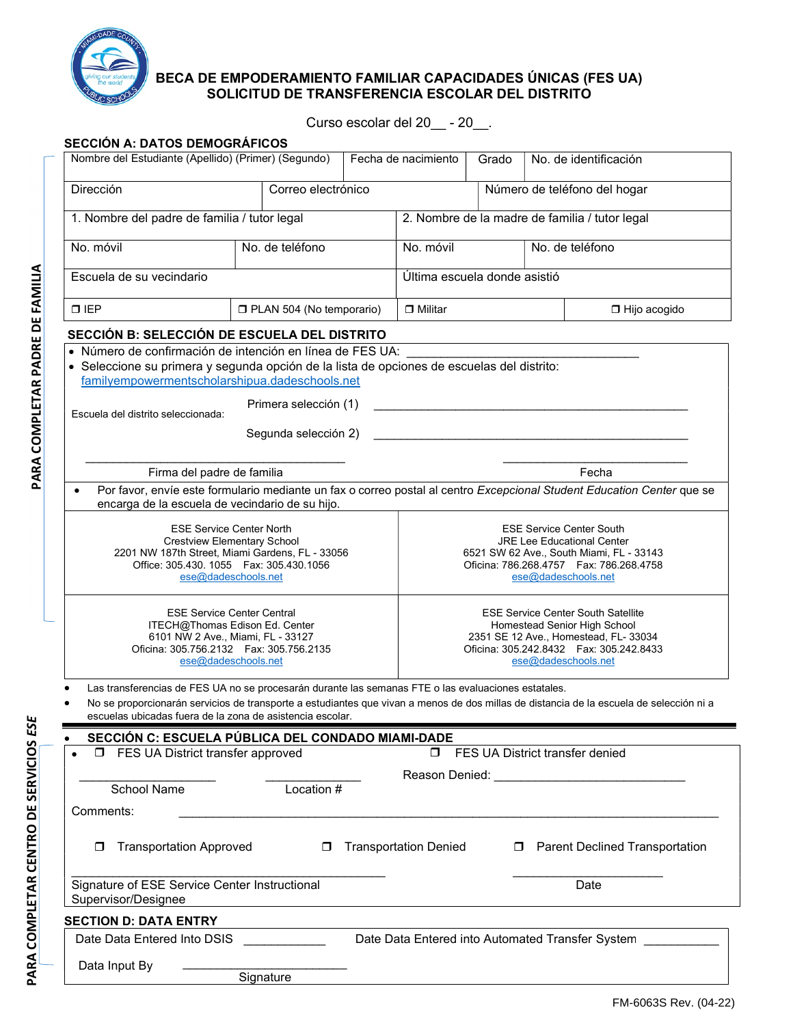

## BECA DE EMPODERAMIENTO FAMILIAR CAPACIDADES ÚNICAS (FES UA) SOLICITUD DE TRANSFERENCIA ESCOLAR DEL DISTRITO

Curso escolar del 20\_\_ - 20\_\_.

| Correo electrónico<br>1. Nombre del padre de familia / tutor legal<br>No. de teléfono<br>PLAN 504 (No temporario)<br>SECCIÓN B: SELECCIÓN DE ESCUELA DEL DISTRITO<br>· Número de confirmación de intención en línea de FES UA:<br>· Seleccione su primera y segunda opción de la lista de opciones de escuelas del distrito:<br>familyempowermentscholarshipua.dadeschools.net<br>Primera selección (1)<br>Segunda selección 2)<br>Firma del padre de familia<br>Por favor, envíe este formulario mediante un fax o correo postal al centro Excepcional Student Education Center que se<br>encarga de la escuela de vecindario de su hijo. |                                                                                                                                            | 2. Nombre de la madre de familia / tutor legal<br>No. móvil<br>Última escuela donde asistió<br>$\Box$ Militar |                                                                                                                                                                                         | Número de teléfono del hogar<br>No. de teléfono                                                                                                         | □ Hijo acogido<br><u> 1989 - Johann Barbara, martxa alemaniar arg</u>                                                                                                                                                                                                                                                                                                                                                                                            |  |  |
|--------------------------------------------------------------------------------------------------------------------------------------------------------------------------------------------------------------------------------------------------------------------------------------------------------------------------------------------------------------------------------------------------------------------------------------------------------------------------------------------------------------------------------------------------------------------------------------------------------------------------------------------|--------------------------------------------------------------------------------------------------------------------------------------------|---------------------------------------------------------------------------------------------------------------|-----------------------------------------------------------------------------------------------------------------------------------------------------------------------------------------|---------------------------------------------------------------------------------------------------------------------------------------------------------|------------------------------------------------------------------------------------------------------------------------------------------------------------------------------------------------------------------------------------------------------------------------------------------------------------------------------------------------------------------------------------------------------------------------------------------------------------------|--|--|
|                                                                                                                                                                                                                                                                                                                                                                                                                                                                                                                                                                                                                                            |                                                                                                                                            |                                                                                                               |                                                                                                                                                                                         |                                                                                                                                                         |                                                                                                                                                                                                                                                                                                                                                                                                                                                                  |  |  |
|                                                                                                                                                                                                                                                                                                                                                                                                                                                                                                                                                                                                                                            |                                                                                                                                            |                                                                                                               |                                                                                                                                                                                         |                                                                                                                                                         |                                                                                                                                                                                                                                                                                                                                                                                                                                                                  |  |  |
|                                                                                                                                                                                                                                                                                                                                                                                                                                                                                                                                                                                                                                            |                                                                                                                                            |                                                                                                               |                                                                                                                                                                                         |                                                                                                                                                         |                                                                                                                                                                                                                                                                                                                                                                                                                                                                  |  |  |
|                                                                                                                                                                                                                                                                                                                                                                                                                                                                                                                                                                                                                                            |                                                                                                                                            |                                                                                                               |                                                                                                                                                                                         |                                                                                                                                                         |                                                                                                                                                                                                                                                                                                                                                                                                                                                                  |  |  |
|                                                                                                                                                                                                                                                                                                                                                                                                                                                                                                                                                                                                                                            |                                                                                                                                            |                                                                                                               |                                                                                                                                                                                         |                                                                                                                                                         |                                                                                                                                                                                                                                                                                                                                                                                                                                                                  |  |  |
|                                                                                                                                                                                                                                                                                                                                                                                                                                                                                                                                                                                                                                            |                                                                                                                                            |                                                                                                               |                                                                                                                                                                                         |                                                                                                                                                         |                                                                                                                                                                                                                                                                                                                                                                                                                                                                  |  |  |
|                                                                                                                                                                                                                                                                                                                                                                                                                                                                                                                                                                                                                                            |                                                                                                                                            |                                                                                                               |                                                                                                                                                                                         |                                                                                                                                                         |                                                                                                                                                                                                                                                                                                                                                                                                                                                                  |  |  |
|                                                                                                                                                                                                                                                                                                                                                                                                                                                                                                                                                                                                                                            |                                                                                                                                            |                                                                                                               |                                                                                                                                                                                         |                                                                                                                                                         |                                                                                                                                                                                                                                                                                                                                                                                                                                                                  |  |  |
|                                                                                                                                                                                                                                                                                                                                                                                                                                                                                                                                                                                                                                            |                                                                                                                                            |                                                                                                               |                                                                                                                                                                                         |                                                                                                                                                         | Fecha                                                                                                                                                                                                                                                                                                                                                                                                                                                            |  |  |
|                                                                                                                                                                                                                                                                                                                                                                                                                                                                                                                                                                                                                                            |                                                                                                                                            |                                                                                                               |                                                                                                                                                                                         |                                                                                                                                                         |                                                                                                                                                                                                                                                                                                                                                                                                                                                                  |  |  |
|                                                                                                                                                                                                                                                                                                                                                                                                                                                                                                                                                                                                                                            |                                                                                                                                            |                                                                                                               |                                                                                                                                                                                         |                                                                                                                                                         |                                                                                                                                                                                                                                                                                                                                                                                                                                                                  |  |  |
| <b>ESE Service Center North</b><br><b>Crestview Elementary School</b><br>2201 NW 187th Street, Miami Gardens, FL - 33056<br>Office: 305.430. 1055   Fax: 305.430.1056<br>ese@dadeschools.net                                                                                                                                                                                                                                                                                                                                                                                                                                               |                                                                                                                                            |                                                                                                               | <b>ESE Service Center South</b><br><b>JRE Lee Educational Center</b><br>6521 SW 62 Ave., South Miami, FL - 33143<br>Oficina: 786.268.4757    Fax: 786.268.4758<br>ese@dadeschools.net   |                                                                                                                                                         |                                                                                                                                                                                                                                                                                                                                                                                                                                                                  |  |  |
| <b>ESE Service Center Central</b><br>ITECH@Thomas Edison Ed. Center<br>6101 NW 2 Ave., Miami, FL - 33127<br>Oficina: 305.756.2132    Fax: 305.756.2135<br>ese@dadeschools.net                                                                                                                                                                                                                                                                                                                                                                                                                                                              |                                                                                                                                            |                                                                                                               | <b>ESE Service Center South Satellite</b><br>Homestead Senior High School<br>2351 SE 12 Ave., Homestead, FL- 33034<br>Oficina: 305.242.8432    Fax: 305.242.8433<br>ese@dadeschools.net |                                                                                                                                                         |                                                                                                                                                                                                                                                                                                                                                                                                                                                                  |  |  |
|                                                                                                                                                                                                                                                                                                                                                                                                                                                                                                                                                                                                                                            |                                                                                                                                            |                                                                                                               |                                                                                                                                                                                         |                                                                                                                                                         |                                                                                                                                                                                                                                                                                                                                                                                                                                                                  |  |  |
|                                                                                                                                                                                                                                                                                                                                                                                                                                                                                                                                                                                                                                            |                                                                                                                                            |                                                                                                               |                                                                                                                                                                                         |                                                                                                                                                         |                                                                                                                                                                                                                                                                                                                                                                                                                                                                  |  |  |
|                                                                                                                                                                                                                                                                                                                                                                                                                                                                                                                                                                                                                                            |                                                                                                                                            |                                                                                                               |                                                                                                                                                                                         |                                                                                                                                                         |                                                                                                                                                                                                                                                                                                                                                                                                                                                                  |  |  |
|                                                                                                                                                                                                                                                                                                                                                                                                                                                                                                                                                                                                                                            |                                                                                                                                            |                                                                                                               |                                                                                                                                                                                         |                                                                                                                                                         |                                                                                                                                                                                                                                                                                                                                                                                                                                                                  |  |  |
|                                                                                                                                                                                                                                                                                                                                                                                                                                                                                                                                                                                                                                            |                                                                                                                                            |                                                                                                               |                                                                                                                                                                                         |                                                                                                                                                         |                                                                                                                                                                                                                                                                                                                                                                                                                                                                  |  |  |
|                                                                                                                                                                                                                                                                                                                                                                                                                                                                                                                                                                                                                                            |                                                                                                                                            |                                                                                                               |                                                                                                                                                                                         |                                                                                                                                                         |                                                                                                                                                                                                                                                                                                                                                                                                                                                                  |  |  |
|                                                                                                                                                                                                                                                                                                                                                                                                                                                                                                                                                                                                                                            |                                                                                                                                            |                                                                                                               |                                                                                                                                                                                         |                                                                                                                                                         |                                                                                                                                                                                                                                                                                                                                                                                                                                                                  |  |  |
|                                                                                                                                                                                                                                                                                                                                                                                                                                                                                                                                                                                                                                            |                                                                                                                                            |                                                                                                               |                                                                                                                                                                                         |                                                                                                                                                         | <b>D</b> Parent Declined Transportation                                                                                                                                                                                                                                                                                                                                                                                                                          |  |  |
|                                                                                                                                                                                                                                                                                                                                                                                                                                                                                                                                                                                                                                            |                                                                                                                                            |                                                                                                               |                                                                                                                                                                                         | Date                                                                                                                                                    |                                                                                                                                                                                                                                                                                                                                                                                                                                                                  |  |  |
|                                                                                                                                                                                                                                                                                                                                                                                                                                                                                                                                                                                                                                            |                                                                                                                                            |                                                                                                               |                                                                                                                                                                                         |                                                                                                                                                         |                                                                                                                                                                                                                                                                                                                                                                                                                                                                  |  |  |
|                                                                                                                                                                                                                                                                                                                                                                                                                                                                                                                                                                                                                                            |                                                                                                                                            |                                                                                                               |                                                                                                                                                                                         |                                                                                                                                                         |                                                                                                                                                                                                                                                                                                                                                                                                                                                                  |  |  |
|                                                                                                                                                                                                                                                                                                                                                                                                                                                                                                                                                                                                                                            |                                                                                                                                            |                                                                                                               |                                                                                                                                                                                         |                                                                                                                                                         |                                                                                                                                                                                                                                                                                                                                                                                                                                                                  |  |  |
|                                                                                                                                                                                                                                                                                                                                                                                                                                                                                                                                                                                                                                            | <b>I</b> FES UA District transfer approved<br><b>Transportation Approved</b><br>Signature of ESE Service Center Instructional<br>Signature | escuelas ubicadas fuera de la zona de asistencia escolar.<br>Location #                                       | SECCIÓN C: ESCUELA PÚBLICA DEL CONDADO MIAMI-DADE                                                                                                                                       | <u> 1989 - Johann Barbara, martxa alemaniar argumento estas políticas en la contrada de la contrada de la contrad</u><br><b>d</b> Transportation Denied | Las transferencias de FES UA no se procesarán durante las semanas FTE o las evaluaciones estatales.<br>No se proporcionarán servicios de transporte a estudiantes que vivan a menos de dos millas de distancia de la escuela de selección ni a<br><b>D</b> FES UA District transfer denied<br>Reason Denied: __________________________________<br>Date Data Entered Into DSIS ___________________Date Data Entered into Automated Transfer System _____________ |  |  |